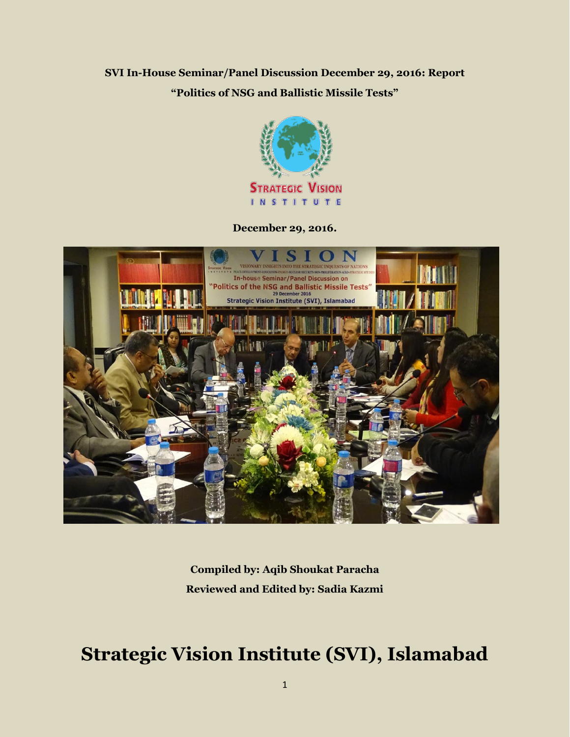# **SVI In-House Seminar/Panel Discussion December 29, 2016: Report "Politics of NSG and Ballistic Missile Tests"**



**December 29, 2016.**



**Compiled by: Aqib Shoukat Paracha Reviewed and Edited by: Sadia Kazmi** 

# **Strategic Vision Institute (SVI), Islamabad**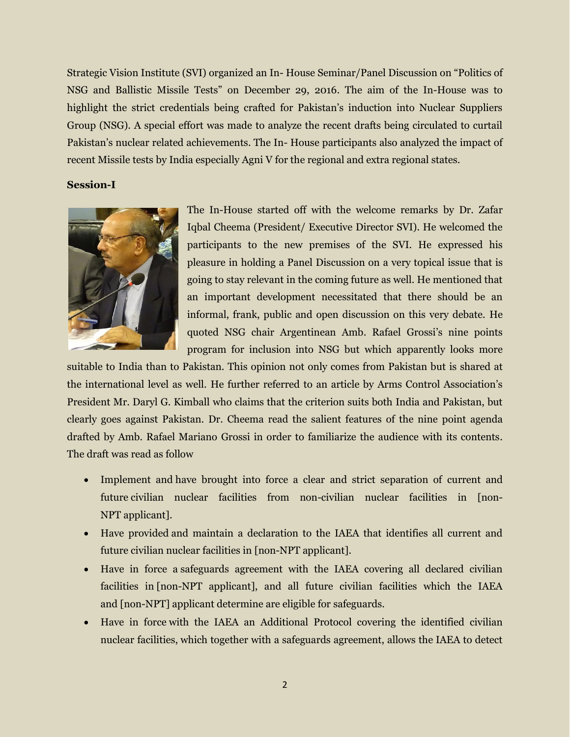Strategic Vision Institute (SVI) organized an In- House Seminar/Panel Discussion on "Politics of NSG and Ballistic Missile Tests" on December 29, 2016. The aim of the In-House was to highlight the strict credentials being crafted for Pakistan's induction into Nuclear Suppliers Group (NSG). A special effort was made to analyze the recent drafts being circulated to curtail Pakistan's nuclear related achievements. The In- House participants also analyzed the impact of recent Missile tests by India especially Agni V for the regional and extra regional states.

#### **Session-I**



The In-House started off with the welcome remarks by Dr. Zafar Iqbal Cheema (President/ Executive Director SVI). He welcomed the participants to the new premises of the SVI. He expressed his pleasure in holding a Panel Discussion on a very topical issue that is going to stay relevant in the coming future as well. He mentioned that an important development necessitated that there should be an informal, frank, public and open discussion on this very debate. He quoted NSG chair Argentinean Amb. Rafael Grossi's nine points program for inclusion into NSG but which apparently looks more

suitable to India than to Pakistan. This opinion not only comes from Pakistan but is shared at the international level as well. He further referred to an article by Arms Control Association's President Mr. Daryl G. Kimball who claims that the criterion suits both India and Pakistan, but clearly goes against Pakistan. Dr. Cheema read the salient features of the nine point agenda drafted by Amb. Rafael Mariano Grossi in order to familiarize the audience with its contents. The draft was read as follow

- Implement and have brought into force a clear and strict separation of current and future civilian nuclear facilities from non-civilian nuclear facilities in [non-NPT applicant].
- Have provided and maintain a declaration to the IAEA that identifies all current and future civilian nuclear facilities in [non-NPT applicant].
- Have in force a safeguards agreement with the IAEA covering all declared civilian facilities in [non-NPT applicant], and all future civilian facilities which the IAEA and [non-NPT] applicant determine are eligible for safeguards.
- Have in force with the IAEA an Additional Protocol covering the identified civilian nuclear facilities, which together with a safeguards agreement, allows the IAEA to detect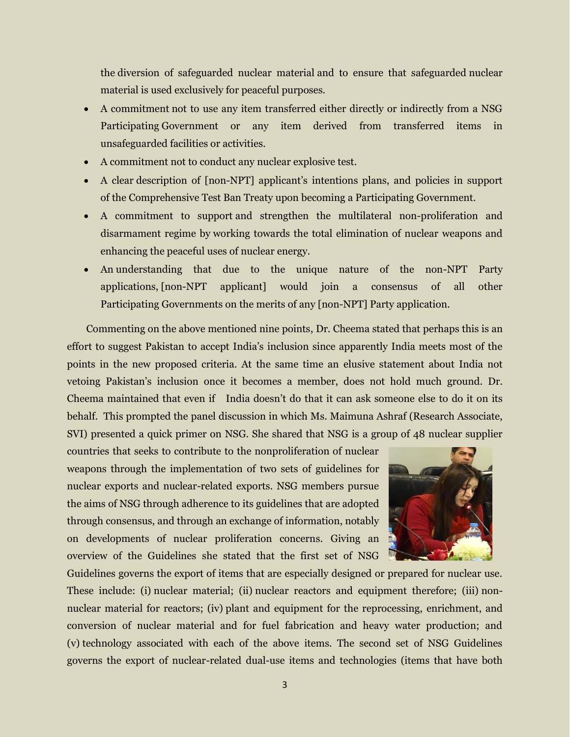the diversion of safeguarded nuclear material and to ensure that safeguarded nuclear material is used exclusively for peaceful purposes.

- A commitment not to use any item transferred either directly or indirectly from a NSG Participating Government or any item derived from transferred items in unsafeguarded facilities or activities.
- A commitment not to conduct any nuclear explosive test.
- A clear description of [non-NPT] applicant's intentions plans, and policies in support of the Comprehensive Test Ban Treaty upon becoming a Participating Government.
- A commitment to support and strengthen the multilateral non-proliferation and disarmament regime by working towards the total elimination of nuclear weapons and enhancing the peaceful uses of nuclear energy.
- An understanding that due to the unique nature of the non-NPT Party applications, [non-NPT applicant] would join a consensus of all other Participating Governments on the merits of any [non-NPT] Party application.

Commenting on the above mentioned nine points, Dr. Cheema stated that perhaps this is an effort to suggest Pakistan to accept India's inclusion since apparently India meets most of the points in the new proposed criteria. At the same time an elusive statement about India not vetoing Pakistan's inclusion once it becomes a member, does not hold much ground. Dr. Cheema maintained that even if India doesn't do that it can ask someone else to do it on its behalf. This prompted the panel discussion in which Ms. Maimuna Ashraf (Research Associate, SVI) presented a quick primer on NSG. She shared that NSG is a group of 48 nuclear supplier

countries that seeks to contribute to the nonproliferation of nuclear weapons through the implementation of two sets of guidelines for nuclear exports and nuclear-related exports. NSG members pursue the aims of NSG through adherence to its guidelines that are adopted through consensus, and through an exchange of information, notably on developments of nuclear proliferation concerns. Giving an overview of the Guidelines she stated that the first set of NSG



Guidelines governs the export of items that are especially designed or prepared for nuclear use. These include: (i) nuclear material; (ii) nuclear reactors and equipment therefore; (iii) nonnuclear material for reactors; (iv) plant and equipment for the reprocessing, enrichment, and conversion of nuclear material and for fuel fabrication and heavy water production; and (v) technology associated with each of the above items. The second set of NSG Guidelines governs the export of nuclear-related dual-use items and technologies (items that have both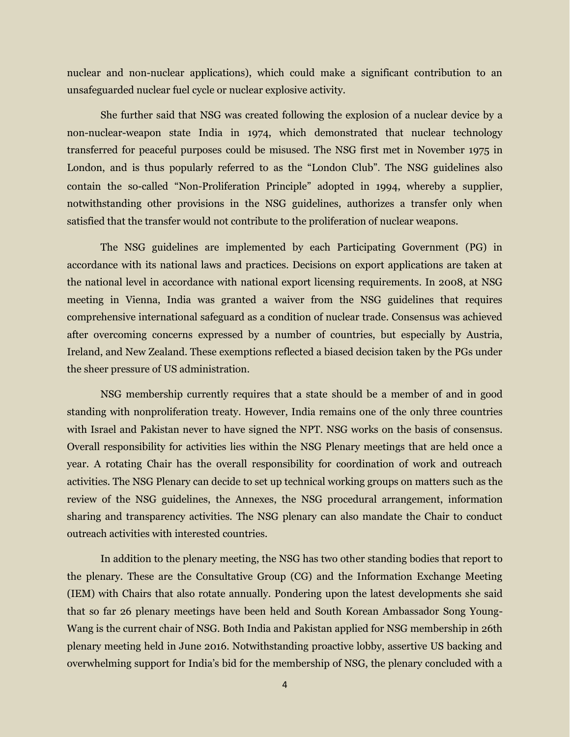nuclear and non-nuclear applications), which could make a significant contribution to an unsafeguarded nuclear fuel cycle or nuclear explosive activity.

She further said that NSG was created following the explosion of a nuclear device by a non-nuclear-weapon state India in 1974, which demonstrated that nuclear technology transferred for peaceful purposes could be misused. The NSG first met in November 1975 in London, and is thus popularly referred to as the "London Club". The NSG guidelines also contain the so-called "Non-Proliferation Principle" adopted in 1994, whereby a supplier, notwithstanding other provisions in the NSG guidelines, authorizes a transfer only when satisfied that the transfer would not contribute to the proliferation of nuclear weapons.

The NSG guidelines are implemented by each Participating Government (PG) in accordance with its national laws and practices. Decisions on export applications are taken at the national level in accordance with national export licensing requirements. In 2008, at NSG meeting in Vienna, India was granted a waiver from the NSG guidelines that requires comprehensive international safeguard as a condition of nuclear trade. Consensus was achieved after overcoming concerns expressed by a number of countries, but especially by Austria, Ireland, and New Zealand. These exemptions reflected a biased decision taken by the PGs under the sheer pressure of US administration.

NSG membership currently requires that a state should be a member of and in good standing with nonproliferation treaty. However, India remains one of the only three countries with Israel and Pakistan never to have signed the NPT. NSG works on the basis of consensus. Overall responsibility for activities lies within the NSG Plenary meetings that are held once a year. A rotating Chair has the overall responsibility for coordination of work and outreach activities. The NSG Plenary can decide to set up technical working groups on matters such as the review of the NSG guidelines, the Annexes, the NSG procedural arrangement, information sharing and transparency activities. The NSG plenary can also mandate the Chair to conduct outreach activities with interested countries.

In addition to the plenary meeting, the NSG has two other standing bodies that report to the plenary. These are the Consultative Group (CG) and the Information Exchange Meeting (IEM) with Chairs that also rotate annually. Pondering upon the latest developments she said that so far 26 plenary meetings have been held and South Korean Ambassador Song Young-Wang is the current chair of NSG. Both India and Pakistan applied for NSG membership in 26th plenary meeting held in June 2016. Notwithstanding proactive lobby, assertive US backing and overwhelming support for India's bid for the membership of NSG, the plenary concluded with a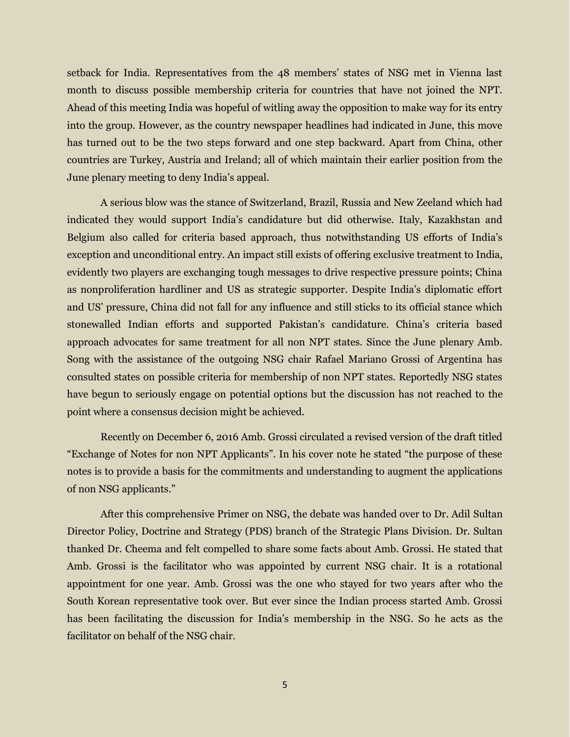setback for India. Representatives from the 48 members' states of NSG met in Vienna last month to discuss possible membership criteria for countries that have not joined the NPT. Ahead of this meeting India was hopeful of witling away the opposition to make way for its entry into the group. However, as the country newspaper headlines had indicated in June, this move has turned out to be the two steps forward and one step backward. Apart from China, other countries are Turkey, Austria and Ireland; all of which maintain their earlier position from the June plenary meeting to deny India's appeal.

A serious blow was the stance of Switzerland, Brazil, Russia and New Zeeland which had indicated they would support India's candidature but did otherwise. Italy, Kazakhstan and Belgium also called for criteria based approach, thus notwithstanding US efforts of India's exception and unconditional entry. An impact still exists of offering exclusive treatment to India, evidently two players are exchanging tough messages to drive respective pressure points; China as nonproliferation hardliner and US as strategic supporter. Despite India's diplomatic effort and US' pressure, China did not fall for any influence and still sticks to its official stance which stonewalled Indian efforts and supported Pakistan's candidature. China's criteria based approach advocates for same treatment for all non NPT states. Since the June plenary Amb. Song with the assistance of the outgoing NSG chair Rafael Mariano Grossi of Argentina has consulted states on possible criteria for membership of non NPT states. Reportedly NSG states have begun to seriously engage on potential options but the discussion has not reached to the point where a consensus decision might be achieved.

Recently on December 6, 2016 Amb. Grossi circulated a revised version of the draft titled "Exchange of Notes for non NPT Applicants". In his cover note he stated "the purpose of these notes is to provide a basis for the commitments and understanding to augment the applications of non NSG applicants."

After this comprehensive Primer on NSG, the debate was handed over to Dr. Adil Sultan Director Policy, Doctrine and Strategy (PDS) branch of the Strategic Plans Division. Dr. Sultan thanked Dr. Cheema and felt compelled to share some facts about Amb. Grossi. He stated that Amb. Grossi is the facilitator who was appointed by current NSG chair. It is a rotational appointment for one year. Amb. Grossi was the one who stayed for two years after who the South Korean representative took over. But ever since the Indian process started Amb. Grossi has been facilitating the discussion for India's membership in the NSG. So he acts as the facilitator on behalf of the NSG chair.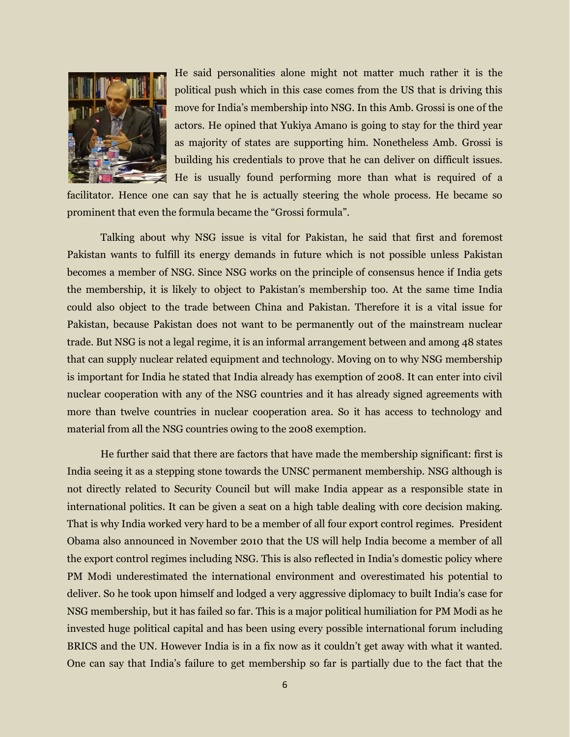

He said personalities alone might not matter much rather it is the political push which in this case comes from the US that is driving this move for India's membership into NSG. In this Amb. Grossi is one of the actors. He opined that Yukiya Amano is going to stay for the third year as majority of states are supporting him. Nonetheless Amb. Grossi is building his credentials to prove that he can deliver on difficult issues. He is usually found performing more than what is required of a

facilitator. Hence one can say that he is actually steering the whole process. He became so prominent that even the formula became the "Grossi formula".

Talking about why NSG issue is vital for Pakistan, he said that first and foremost Pakistan wants to fulfill its energy demands in future which is not possible unless Pakistan becomes a member of NSG. Since NSG works on the principle of consensus hence if India gets the membership, it is likely to object to Pakistan's membership too. At the same time India could also object to the trade between China and Pakistan. Therefore it is a vital issue for Pakistan, because Pakistan does not want to be permanently out of the mainstream nuclear trade. But NSG is not a legal regime, it is an informal arrangement between and among 48 states that can supply nuclear related equipment and technology. Moving on to why NSG membership is important for India he stated that India already has exemption of 2008. It can enter into civil nuclear cooperation with any of the NSG countries and it has already signed agreements with more than twelve countries in nuclear cooperation area. So it has access to technology and material from all the NSG countries owing to the 2008 exemption.

He further said that there are factors that have made the membership significant: first is India seeing it as a stepping stone towards the UNSC permanent membership. NSG although is not directly related to Security Council but will make India appear as a responsible state in international politics. It can be given a seat on a high table dealing with core decision making. That is why India worked very hard to be a member of all four export control regimes. President Obama also announced in November 2010 that the US will help India become a member of all the export control regimes including NSG. This is also reflected in India's domestic policy where PM Modi underestimated the international environment and overestimated his potential to deliver. So he took upon himself and lodged a very aggressive diplomacy to built India's case for NSG membership, but it has failed so far. This is a major political humiliation for PM Modi as he invested huge political capital and has been using every possible international forum including BRICS and the UN. However India is in a fix now as it couldn't get away with what it wanted. One can say that India's failure to get membership so far is partially due to the fact that the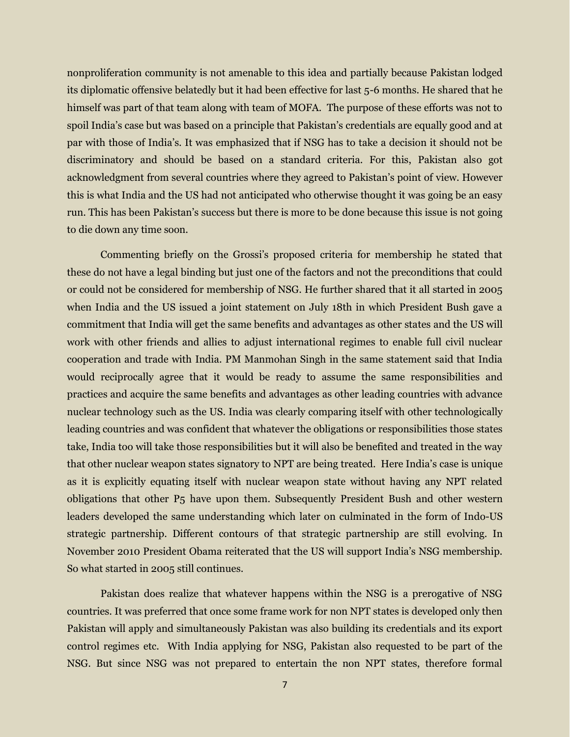nonproliferation community is not amenable to this idea and partially because Pakistan lodged its diplomatic offensive belatedly but it had been effective for last 5-6 months. He shared that he himself was part of that team along with team of MOFA. The purpose of these efforts was not to spoil India's case but was based on a principle that Pakistan's credentials are equally good and at par with those of India's. It was emphasized that if NSG has to take a decision it should not be discriminatory and should be based on a standard criteria. For this, Pakistan also got acknowledgment from several countries where they agreed to Pakistan's point of view. However this is what India and the US had not anticipated who otherwise thought it was going be an easy run. This has been Pakistan's success but there is more to be done because this issue is not going to die down any time soon.

Commenting briefly on the Grossi's proposed criteria for membership he stated that these do not have a legal binding but just one of the factors and not the preconditions that could or could not be considered for membership of NSG. He further shared that it all started in 2005 when India and the US issued a joint statement on July 18th in which President Bush gave a commitment that India will get the same benefits and advantages as other states and the US will work with other friends and allies to adjust international regimes to enable full civil nuclear cooperation and trade with India. PM Manmohan Singh in the same statement said that India would reciprocally agree that it would be ready to assume the same responsibilities and practices and acquire the same benefits and advantages as other leading countries with advance nuclear technology such as the US. India was clearly comparing itself with other technologically leading countries and was confident that whatever the obligations or responsibilities those states take, India too will take those responsibilities but it will also be benefited and treated in the way that other nuclear weapon states signatory to NPT are being treated. Here India's case is unique as it is explicitly equating itself with nuclear weapon state without having any NPT related obligations that other P5 have upon them. Subsequently President Bush and other western leaders developed the same understanding which later on culminated in the form of Indo-US strategic partnership. Different contours of that strategic partnership are still evolving. In November 2010 President Obama reiterated that the US will support India's NSG membership. So what started in 2005 still continues.

Pakistan does realize that whatever happens within the NSG is a prerogative of NSG countries. It was preferred that once some frame work for non NPT states is developed only then Pakistan will apply and simultaneously Pakistan was also building its credentials and its export control regimes etc. With India applying for NSG, Pakistan also requested to be part of the NSG. But since NSG was not prepared to entertain the non NPT states, therefore formal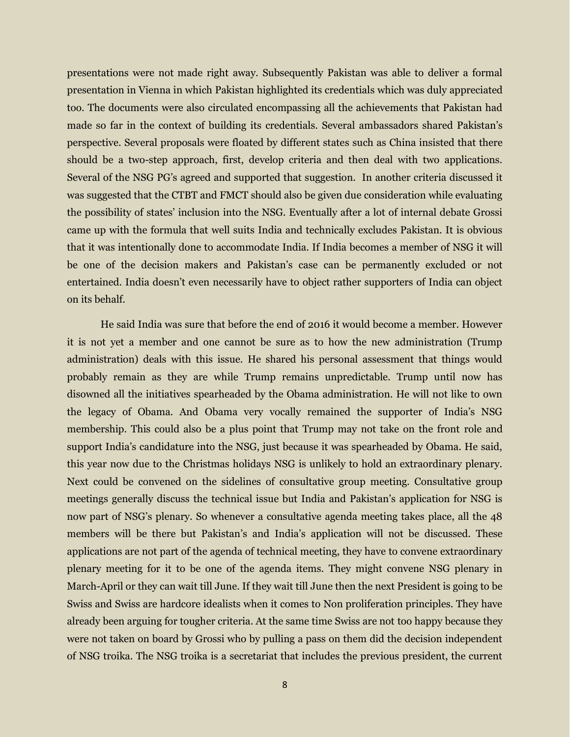presentations were not made right away. Subsequently Pakistan was able to deliver a formal presentation in Vienna in which Pakistan highlighted its credentials which was duly appreciated too. The documents were also circulated encompassing all the achievements that Pakistan had made so far in the context of building its credentials. Several ambassadors shared Pakistan's perspective. Several proposals were floated by different states such as China insisted that there should be a two-step approach, first, develop criteria and then deal with two applications. Several of the NSG PG's agreed and supported that suggestion. In another criteria discussed it was suggested that the CTBT and FMCT should also be given due consideration while evaluating the possibility of states' inclusion into the NSG. Eventually after a lot of internal debate Grossi came up with the formula that well suits India and technically excludes Pakistan. It is obvious that it was intentionally done to accommodate India. If India becomes a member of NSG it will be one of the decision makers and Pakistan's case can be permanently excluded or not entertained. India doesn't even necessarily have to object rather supporters of India can object on its behalf.

He said India was sure that before the end of 2016 it would become a member. However it is not yet a member and one cannot be sure as to how the new administration (Trump administration) deals with this issue. He shared his personal assessment that things would probably remain as they are while Trump remains unpredictable. Trump until now has disowned all the initiatives spearheaded by the Obama administration. He will not like to own the legacy of Obama. And Obama very vocally remained the supporter of India's NSG membership. This could also be a plus point that Trump may not take on the front role and support India's candidature into the NSG, just because it was spearheaded by Obama. He said, this year now due to the Christmas holidays NSG is unlikely to hold an extraordinary plenary. Next could be convened on the sidelines of consultative group meeting. Consultative group meetings generally discuss the technical issue but India and Pakistan's application for NSG is now part of NSG's plenary. So whenever a consultative agenda meeting takes place, all the 48 members will be there but Pakistan's and India's application will not be discussed. These applications are not part of the agenda of technical meeting, they have to convene extraordinary plenary meeting for it to be one of the agenda items. They might convene NSG plenary in March-April or they can wait till June. If they wait till June then the next President is going to be Swiss and Swiss are hardcore idealists when it comes to Non proliferation principles. They have already been arguing for tougher criteria. At the same time Swiss are not too happy because they were not taken on board by Grossi who by pulling a pass on them did the decision independent of NSG troika. The NSG troika is a secretariat that includes the previous president, the current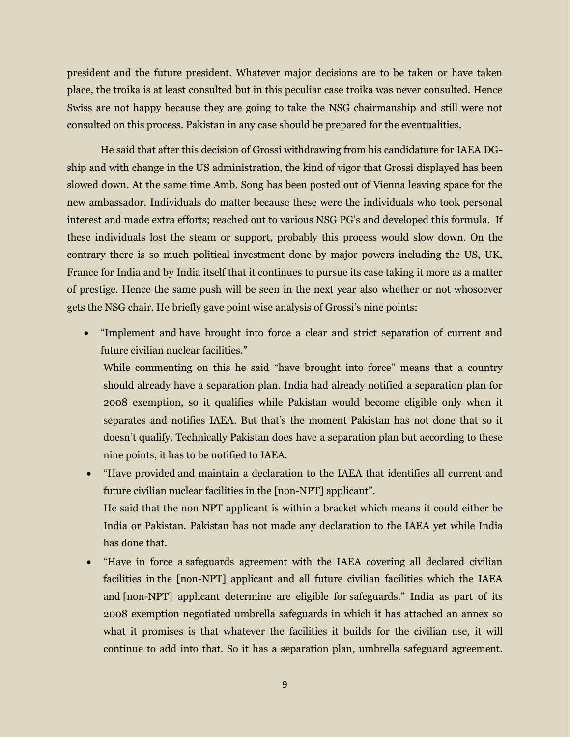president and the future president. Whatever major decisions are to be taken or have taken place, the troika is at least consulted but in this peculiar case troika was never consulted. Hence Swiss are not happy because they are going to take the NSG chairmanship and still were not consulted on this process. Pakistan in any case should be prepared for the eventualities.

He said that after this decision of Grossi withdrawing from his candidature for IAEA DGship and with change in the US administration, the kind of vigor that Grossi displayed has been slowed down. At the same time Amb. Song has been posted out of Vienna leaving space for the new ambassador. Individuals do matter because these were the individuals who took personal interest and made extra efforts; reached out to various NSG PG's and developed this formula. If these individuals lost the steam or support, probably this process would slow down. On the contrary there is so much political investment done by major powers including the US, UK, France for India and by India itself that it continues to pursue its case taking it more as a matter of prestige. Hence the same push will be seen in the next year also whether or not whosoever gets the NSG chair. He briefly gave point wise analysis of Grossi's nine points:

 "Implement and have brought into force a clear and strict separation of current and future civilian nuclear facilities."

While commenting on this he said "have brought into force" means that a country should already have a separation plan. India had already notified a separation plan for 2008 exemption, so it qualifies while Pakistan would become eligible only when it separates and notifies IAEA. But that's the moment Pakistan has not done that so it doesn't qualify. Technically Pakistan does have a separation plan but according to these nine points, it has to be notified to IAEA.

- "Have provided and maintain a declaration to the IAEA that identifies all current and future civilian nuclear facilities in the [non-NPT] applicant". He said that the non NPT applicant is within a bracket which means it could either be India or Pakistan. Pakistan has not made any declaration to the IAEA yet while India has done that.
- "Have in force a safeguards agreement with the IAEA covering all declared civilian facilities in the [non-NPT] applicant and all future civilian facilities which the IAEA and [non-NPT] applicant determine are eligible for safeguards." India as part of its 2008 exemption negotiated umbrella safeguards in which it has attached an annex so what it promises is that whatever the facilities it builds for the civilian use, it will continue to add into that. So it has a separation plan, umbrella safeguard agreement.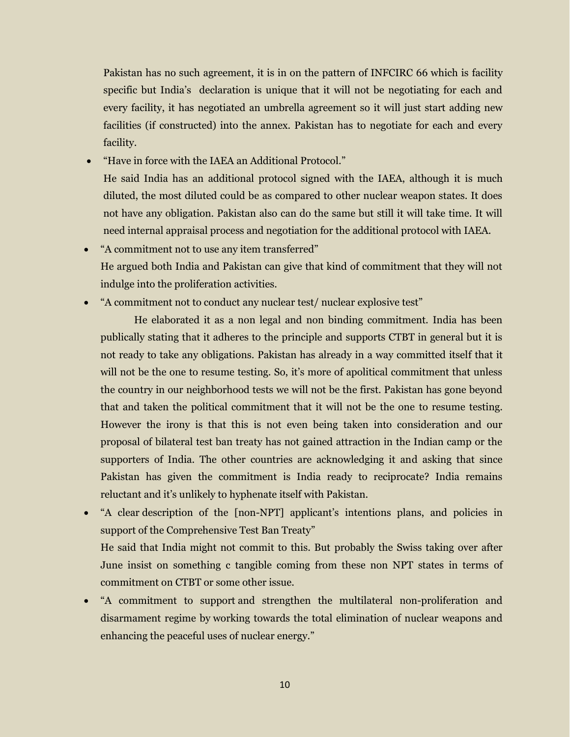Pakistan has no such agreement, it is in on the pattern of INFCIRC 66 which is facility specific but India's declaration is unique that it will not be negotiating for each and every facility, it has negotiated an umbrella agreement so it will just start adding new facilities (if constructed) into the annex. Pakistan has to negotiate for each and every facility.

"Have in force with the IAEA an Additional Protocol."

He said India has an additional protocol signed with the IAEA, although it is much diluted, the most diluted could be as compared to other nuclear weapon states. It does not have any obligation. Pakistan also can do the same but still it will take time. It will need internal appraisal process and negotiation for the additional protocol with IAEA.

- "A commitment not to use any item transferred" He argued both India and Pakistan can give that kind of commitment that they will not indulge into the proliferation activities.
- "A commitment not to conduct any nuclear test/ nuclear explosive test"

He elaborated it as a non legal and non binding commitment. India has been publically stating that it adheres to the principle and supports CTBT in general but it is not ready to take any obligations. Pakistan has already in a way committed itself that it will not be the one to resume testing. So, it's more of apolitical commitment that unless the country in our neighborhood tests we will not be the first. Pakistan has gone beyond that and taken the political commitment that it will not be the one to resume testing. However the irony is that this is not even being taken into consideration and our proposal of bilateral test ban treaty has not gained attraction in the Indian camp or the supporters of India. The other countries are acknowledging it and asking that since Pakistan has given the commitment is India ready to reciprocate? India remains reluctant and it's unlikely to hyphenate itself with Pakistan.

- "A clear description of the [non-NPT] applicant's intentions plans, and policies in support of the Comprehensive Test Ban Treaty" He said that India might not commit to this. But probably the Swiss taking over after June insist on something c tangible coming from these non NPT states in terms of commitment on CTBT or some other issue.
- "A commitment to support and strengthen the multilateral non-proliferation and disarmament regime by working towards the total elimination of nuclear weapons and enhancing the peaceful uses of nuclear energy."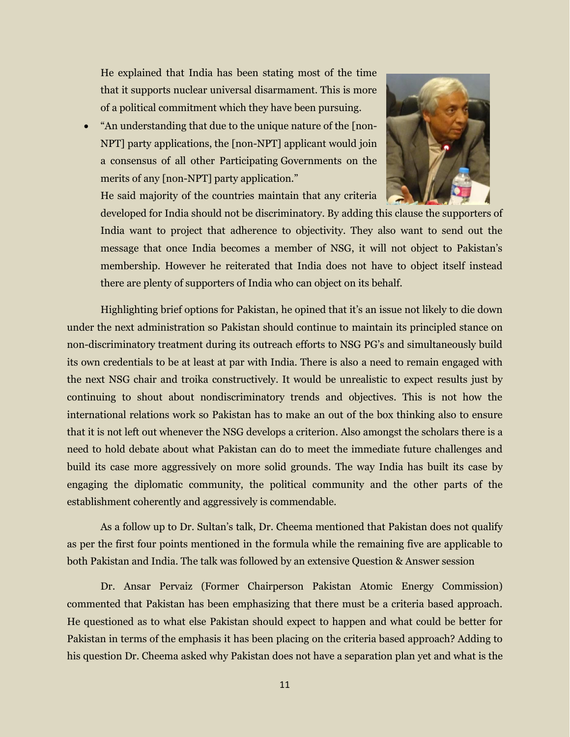He explained that India has been stating most of the time that it supports nuclear universal disarmament. This is more of a political commitment which they have been pursuing.

 "An understanding that due to the unique nature of the [non-NPT] party applications, the [non-NPT] applicant would join a consensus of all other Participating Governments on the merits of any [non-NPT] party application."



He said majority of the countries maintain that any criteria

developed for India should not be discriminatory. By adding this clause the supporters of India want to project that adherence to objectivity. They also want to send out the message that once India becomes a member of NSG, it will not object to Pakistan's membership. However he reiterated that India does not have to object itself instead there are plenty of supporters of India who can object on its behalf.

Highlighting brief options for Pakistan, he opined that it's an issue not likely to die down under the next administration so Pakistan should continue to maintain its principled stance on non-discriminatory treatment during its outreach efforts to NSG PG's and simultaneously build its own credentials to be at least at par with India. There is also a need to remain engaged with the next NSG chair and troika constructively. It would be unrealistic to expect results just by continuing to shout about nondiscriminatory trends and objectives. This is not how the international relations work so Pakistan has to make an out of the box thinking also to ensure that it is not left out whenever the NSG develops a criterion. Also amongst the scholars there is a need to hold debate about what Pakistan can do to meet the immediate future challenges and build its case more aggressively on more solid grounds. The way India has built its case by engaging the diplomatic community, the political community and the other parts of the establishment coherently and aggressively is commendable.

As a follow up to Dr. Sultan's talk, Dr. Cheema mentioned that Pakistan does not qualify as per the first four points mentioned in the formula while the remaining five are applicable to both Pakistan and India. The talk was followed by an extensive Question & Answer session

Dr. Ansar Pervaiz (Former Chairperson Pakistan Atomic Energy Commission) commented that Pakistan has been emphasizing that there must be a criteria based approach. He questioned as to what else Pakistan should expect to happen and what could be better for Pakistan in terms of the emphasis it has been placing on the criteria based approach? Adding to his question Dr. Cheema asked why Pakistan does not have a separation plan yet and what is the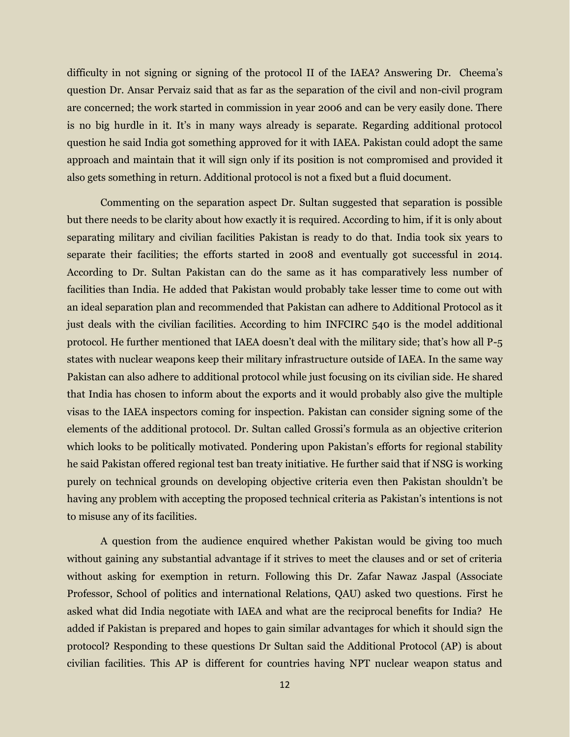difficulty in not signing or signing of the protocol II of the IAEA? Answering Dr. Cheema's question Dr. Ansar Pervaiz said that as far as the separation of the civil and non-civil program are concerned; the work started in commission in year 2006 and can be very easily done. There is no big hurdle in it. It's in many ways already is separate. Regarding additional protocol question he said India got something approved for it with IAEA. Pakistan could adopt the same approach and maintain that it will sign only if its position is not compromised and provided it also gets something in return. Additional protocol is not a fixed but a fluid document.

Commenting on the separation aspect Dr. Sultan suggested that separation is possible but there needs to be clarity about how exactly it is required. According to him, if it is only about separating military and civilian facilities Pakistan is ready to do that. India took six years to separate their facilities; the efforts started in 2008 and eventually got successful in 2014. According to Dr. Sultan Pakistan can do the same as it has comparatively less number of facilities than India. He added that Pakistan would probably take lesser time to come out with an ideal separation plan and recommended that Pakistan can adhere to Additional Protocol as it just deals with the civilian facilities. According to him INFCIRC 540 is the model additional protocol. He further mentioned that IAEA doesn't deal with the military side; that's how all P-5 states with nuclear weapons keep their military infrastructure outside of IAEA. In the same way Pakistan can also adhere to additional protocol while just focusing on its civilian side. He shared that India has chosen to inform about the exports and it would probably also give the multiple visas to the IAEA inspectors coming for inspection. Pakistan can consider signing some of the elements of the additional protocol. Dr. Sultan called Grossi's formula as an objective criterion which looks to be politically motivated. Pondering upon Pakistan's efforts for regional stability he said Pakistan offered regional test ban treaty initiative. He further said that if NSG is working purely on technical grounds on developing objective criteria even then Pakistan shouldn't be having any problem with accepting the proposed technical criteria as Pakistan's intentions is not to misuse any of its facilities.

A question from the audience enquired whether Pakistan would be giving too much without gaining any substantial advantage if it strives to meet the clauses and or set of criteria without asking for exemption in return. Following this Dr. Zafar Nawaz Jaspal (Associate Professor, School of politics and international Relations, QAU) asked two questions. First he asked what did India negotiate with IAEA and what are the reciprocal benefits for India? He added if Pakistan is prepared and hopes to gain similar advantages for which it should sign the protocol? Responding to these questions Dr Sultan said the Additional Protocol (AP) is about civilian facilities. This AP is different for countries having NPT nuclear weapon status and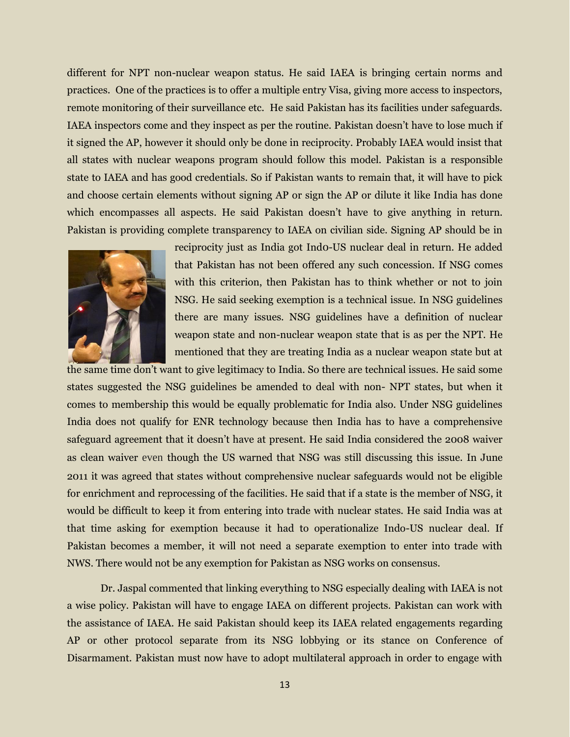different for NPT non-nuclear weapon status. He said IAEA is bringing certain norms and practices. One of the practices is to offer a multiple entry Visa, giving more access to inspectors, remote monitoring of their surveillance etc. He said Pakistan has its facilities under safeguards. IAEA inspectors come and they inspect as per the routine. Pakistan doesn't have to lose much if it signed the AP, however it should only be done in reciprocity. Probably IAEA would insist that all states with nuclear weapons program should follow this model. Pakistan is a responsible state to IAEA and has good credentials. So if Pakistan wants to remain that, it will have to pick and choose certain elements without signing AP or sign the AP or dilute it like India has done which encompasses all aspects. He said Pakistan doesn't have to give anything in return. Pakistan is providing complete transparency to IAEA on civilian side. Signing AP should be in



reciprocity just as India got Ind0-US nuclear deal in return. He added that Pakistan has not been offered any such concession. If NSG comes with this criterion, then Pakistan has to think whether or not to join NSG. He said seeking exemption is a technical issue. In NSG guidelines there are many issues. NSG guidelines have a definition of nuclear weapon state and non-nuclear weapon state that is as per the NPT. He mentioned that they are treating India as a nuclear weapon state but at

the same time don't want to give legitimacy to India. So there are technical issues. He said some states suggested the NSG guidelines be amended to deal with non- NPT states, but when it comes to membership this would be equally problematic for India also. Under NSG guidelines India does not qualify for ENR technology because then India has to have a comprehensive safeguard agreement that it doesn't have at present. He said India considered the 2008 waiver as clean waiver even though the US warned that NSG was still discussing this issue. In June 2011 it was agreed that states without comprehensive nuclear safeguards would not be eligible for enrichment and reprocessing of the facilities. He said that if a state is the member of NSG, it would be difficult to keep it from entering into trade with nuclear states. He said India was at that time asking for exemption because it had to operationalize Indo-US nuclear deal. If Pakistan becomes a member, it will not need a separate exemption to enter into trade with NWS. There would not be any exemption for Pakistan as NSG works on consensus.

Dr. Jaspal commented that linking everything to NSG especially dealing with IAEA is not a wise policy. Pakistan will have to engage IAEA on different projects. Pakistan can work with the assistance of IAEA. He said Pakistan should keep its IAEA related engagements regarding AP or other protocol separate from its NSG lobbying or its stance on Conference of Disarmament. Pakistan must now have to adopt multilateral approach in order to engage with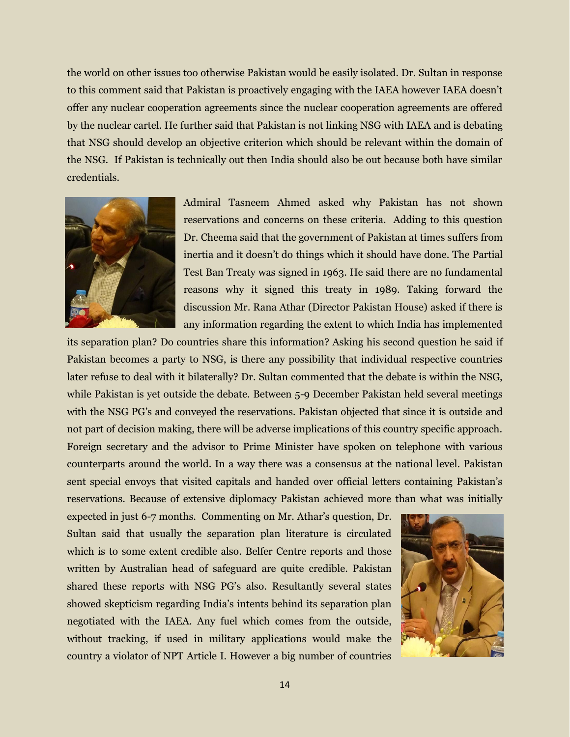the world on other issues too otherwise Pakistan would be easily isolated. Dr. Sultan in response to this comment said that Pakistan is proactively engaging with the IAEA however IAEA doesn't offer any nuclear cooperation agreements since the nuclear cooperation agreements are offered by the nuclear cartel. He further said that Pakistan is not linking NSG with IAEA and is debating that NSG should develop an objective criterion which should be relevant within the domain of the NSG. If Pakistan is technically out then India should also be out because both have similar credentials.



Admiral Tasneem Ahmed asked why Pakistan has not shown reservations and concerns on these criteria. Adding to this question Dr. Cheema said that the government of Pakistan at times suffers from inertia and it doesn't do things which it should have done. The Partial Test Ban Treaty was signed in 1963. He said there are no fundamental reasons why it signed this treaty in 1989. Taking forward the discussion Mr. Rana Athar (Director Pakistan House) asked if there is any information regarding the extent to which India has implemented

its separation plan? Do countries share this information? Asking his second question he said if Pakistan becomes a party to NSG, is there any possibility that individual respective countries later refuse to deal with it bilaterally? Dr. Sultan commented that the debate is within the NSG, while Pakistan is yet outside the debate. Between 5-9 December Pakistan held several meetings with the NSG PG's and conveyed the reservations. Pakistan objected that since it is outside and not part of decision making, there will be adverse implications of this country specific approach. Foreign secretary and the advisor to Prime Minister have spoken on telephone with various counterparts around the world. In a way there was a consensus at the national level. Pakistan sent special envoys that visited capitals and handed over official letters containing Pakistan's reservations. Because of extensive diplomacy Pakistan achieved more than what was initially

expected in just 6-7 months. Commenting on Mr. Athar's question, Dr. Sultan said that usually the separation plan literature is circulated which is to some extent credible also. Belfer Centre reports and those written by Australian head of safeguard are quite credible. Pakistan shared these reports with NSG PG's also. Resultantly several states showed skepticism regarding India's intents behind its separation plan negotiated with the IAEA. Any fuel which comes from the outside, without tracking, if used in military applications would make the country a violator of NPT Article I. However a big number of countries

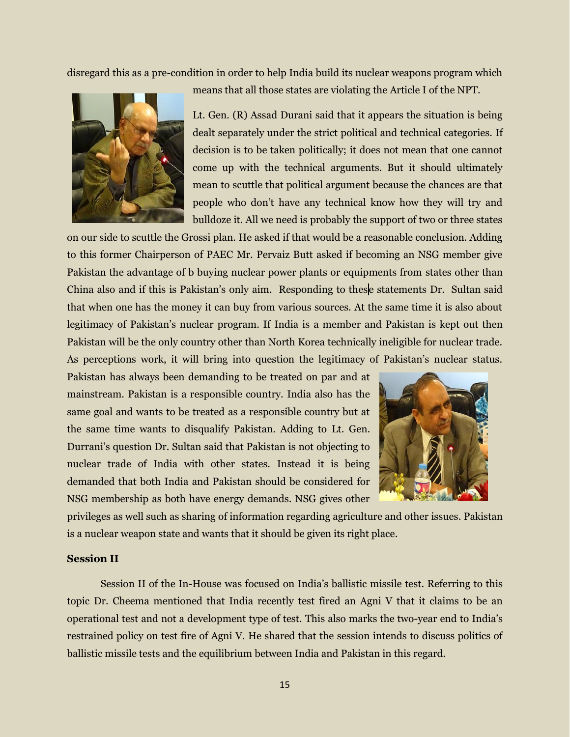disregard this as a pre-condition in order to help India build its nuclear weapons program which



means that all those states are violating the Article I of the NPT.

Lt. Gen. (R) Assad Durani said that it appears the situation is being dealt separately under the strict political and technical categories. If decision is to be taken politically; it does not mean that one cannot come up with the technical arguments. But it should ultimately mean to scuttle that political argument because the chances are that people who don't have any technical know how they will try and bulldoze it. All we need is probably the support of two or three states

on our side to scuttle the Grossi plan. He asked if that would be a reasonable conclusion. Adding to this former Chairperson of PAEC Mr. Pervaiz Butt asked if becoming an NSG member give Pakistan the advantage of b buying nuclear power plants or equipments from states other than China also and if this is Pakistan's only aim. Responding to these statements Dr. Sultan said that when one has the money it can buy from various sources. At the same time it is also about legitimacy of Pakistan's nuclear program. If India is a member and Pakistan is kept out then Pakistan will be the only country other than North Korea technically ineligible for nuclear trade. As perceptions work, it will bring into question the legitimacy of Pakistan's nuclear status.

Pakistan has always been demanding to be treated on par and at mainstream. Pakistan is a responsible country. India also has the same goal and wants to be treated as a responsible country but at the same time wants to disqualify Pakistan. Adding to Lt. Gen. Durrani's question Dr. Sultan said that Pakistan is not objecting to nuclear trade of India with other states. Instead it is being demanded that both India and Pakistan should be considered for NSG membership as both have energy demands. NSG gives other



privileges as well such as sharing of information regarding agriculture and other issues. Pakistan is a nuclear weapon state and wants that it should be given its right place.

#### **Session II**

Session II of the In-House was focused on India's ballistic missile test. Referring to this topic Dr. Cheema mentioned that India recently test fired an Agni V that it claims to be an operational test and not a development type of test. This also marks the two-year end to India's restrained policy on test fire of Agni V. He shared that the session intends to discuss politics of ballistic missile tests and the equilibrium between India and Pakistan in this regard.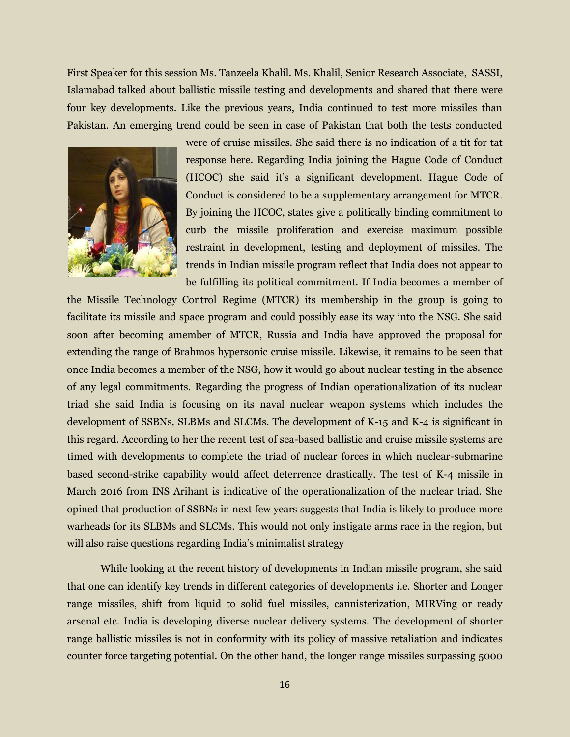First Speaker for this session Ms. Tanzeela Khalil. Ms. Khalil, Senior Research Associate, SASSI, Islamabad talked about ballistic missile testing and developments and shared that there were four key developments. Like the previous years, India continued to test more missiles than Pakistan. An emerging trend could be seen in case of Pakistan that both the tests conducted



were of cruise missiles. She said there is no indication of a tit for tat response here. Regarding India joining the Hague Code of Conduct (HCOC) she said it's a significant development. Hague Code of Conduct is considered to be a supplementary arrangement for MTCR. By joining the HCOC, states give a politically binding commitment to curb the missile proliferation and exercise maximum possible restraint in development, testing and deployment of missiles. The trends in Indian missile program reflect that India does not appear to be fulfilling its political commitment. If India becomes a member of

the Missile Technology Control Regime (MTCR) its membership in the group is going to facilitate its missile and space program and could possibly ease its way into the NSG. She said soon after becoming amember of MTCR, Russia and India have approved the proposal for extending the range of Brahmos hypersonic cruise missile. Likewise, it remains to be seen that once India becomes a member of the NSG, how it would go about nuclear testing in the absence of any legal commitments. Regarding the progress of Indian operationalization of its nuclear triad she said India is focusing on its naval nuclear weapon systems which includes the development of SSBNs, SLBMs and SLCMs. The development of K-15 and K-4 is significant in this regard. According to her the recent test of sea-based ballistic and cruise missile systems are timed with developments to complete the triad of nuclear forces in which nuclear-submarine based second-strike capability would affect deterrence drastically. The test of K-4 missile in March 2016 from INS Arihant is indicative of the operationalization of the nuclear triad. She opined that production of SSBNs in next few years suggests that India is likely to produce more warheads for its SLBMs and SLCMs. This would not only instigate arms race in the region, but will also raise questions regarding India's minimalist strategy

While looking at the recent history of developments in Indian missile program, she said that one can identify key trends in different categories of developments i.e. Shorter and Longer range missiles, shift from liquid to solid fuel missiles, cannisterization, MIRVing or ready arsenal etc. India is developing diverse nuclear delivery systems. The development of shorter range ballistic missiles is not in conformity with its policy of massive retaliation and indicates counter force targeting potential. On the other hand, the longer range missiles surpassing 5000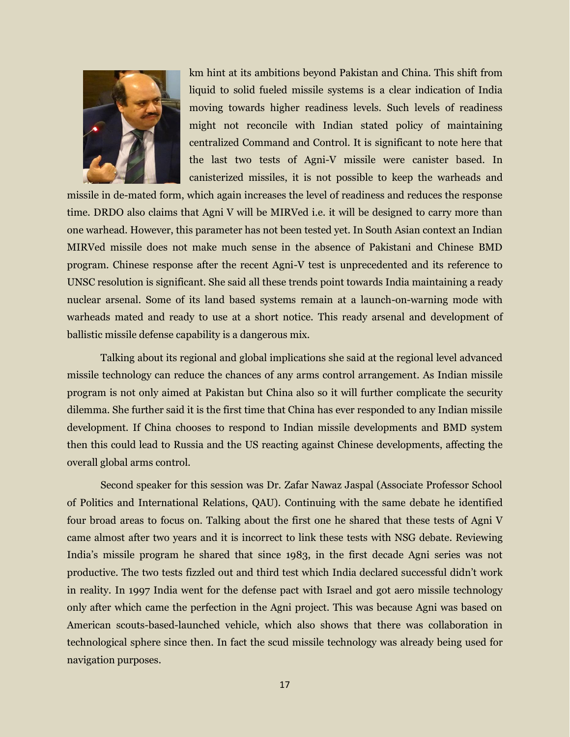

km hint at its ambitions beyond Pakistan and China. This shift from liquid to solid fueled missile systems is a clear indication of India moving towards higher readiness levels. Such levels of readiness might not reconcile with Indian stated policy of maintaining centralized Command and Control. It is significant to note here that the last two tests of Agni-V missile were canister based. In canisterized missiles, it is not possible to keep the warheads and

missile in de-mated form, which again increases the level of readiness and reduces the response time. DRDO also claims that Agni V will be MIRVed i.e. it will be designed to carry more than one warhead. However, this parameter has not been tested yet. In South Asian context an Indian MIRVed missile does not make much sense in the absence of Pakistani and Chinese BMD program. Chinese response after the recent Agni-V test is unprecedented and its reference to UNSC resolution is significant. She said all these trends point towards India maintaining a ready nuclear arsenal. Some of its land based systems remain at a launch-on-warning mode with warheads mated and ready to use at a short notice. This ready arsenal and development of ballistic missile defense capability is a dangerous mix.

Talking about its regional and global implications she said at the regional level advanced missile technology can reduce the chances of any arms control arrangement. As Indian missile program is not only aimed at Pakistan but China also so it will further complicate the security dilemma. She further said it is the first time that China has ever responded to any Indian missile development. If China chooses to respond to Indian missile developments and BMD system then this could lead to Russia and the US reacting against Chinese developments, affecting the overall global arms control.

Second speaker for this session was Dr. Zafar Nawaz Jaspal (Associate Professor School of Politics and International Relations, QAU). Continuing with the same debate he identified four broad areas to focus on. Talking about the first one he shared that these tests of Agni V came almost after two years and it is incorrect to link these tests with NSG debate. Reviewing India's missile program he shared that since 1983, in the first decade Agni series was not productive. The two tests fizzled out and third test which India declared successful didn't work in reality. In 1997 India went for the defense pact with Israel and got aero missile technology only after which came the perfection in the Agni project. This was because Agni was based on American scouts-based-launched vehicle, which also shows that there was collaboration in technological sphere since then. In fact the scud missile technology was already being used for navigation purposes.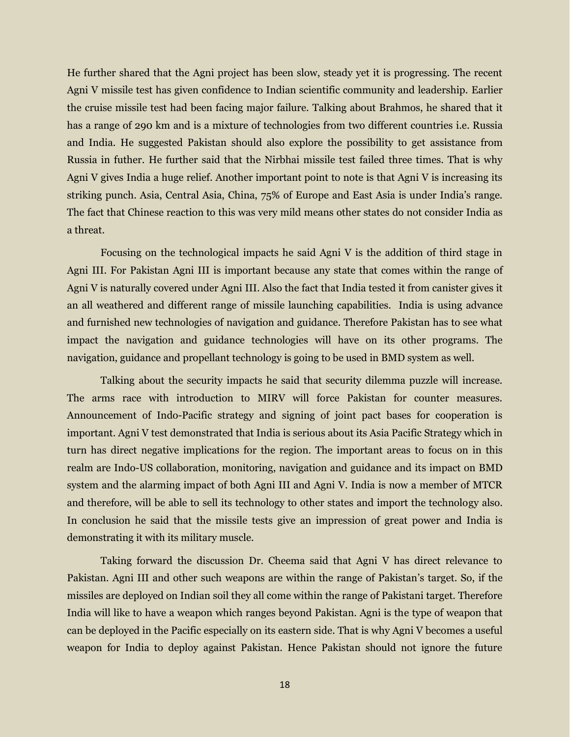He further shared that the Agni project has been slow, steady yet it is progressing. The recent Agni V missile test has given confidence to Indian scientific community and leadership. Earlier the cruise missile test had been facing major failure. Talking about Brahmos, he shared that it has a range of 290 km and is a mixture of technologies from two different countries i.e. Russia and India. He suggested Pakistan should also explore the possibility to get assistance from Russia in futher. He further said that the Nirbhai missile test failed three times. That is why Agni V gives India a huge relief. Another important point to note is that Agni V is increasing its striking punch. Asia, Central Asia, China, 75% of Europe and East Asia is under India's range. The fact that Chinese reaction to this was very mild means other states do not consider India as a threat.

Focusing on the technological impacts he said Agni V is the addition of third stage in Agni III. For Pakistan Agni III is important because any state that comes within the range of Agni V is naturally covered under Agni III. Also the fact that India tested it from canister gives it an all weathered and different range of missile launching capabilities. India is using advance and furnished new technologies of navigation and guidance. Therefore Pakistan has to see what impact the navigation and guidance technologies will have on its other programs. The navigation, guidance and propellant technology is going to be used in BMD system as well.

Talking about the security impacts he said that security dilemma puzzle will increase. The arms race with introduction to MIRV will force Pakistan for counter measures. Announcement of Indo-Pacific strategy and signing of joint pact bases for cooperation is important. Agni V test demonstrated that India is serious about its Asia Pacific Strategy which in turn has direct negative implications for the region. The important areas to focus on in this realm are Indo-US collaboration, monitoring, navigation and guidance and its impact on BMD system and the alarming impact of both Agni III and Agni V. India is now a member of MTCR and therefore, will be able to sell its technology to other states and import the technology also. In conclusion he said that the missile tests give an impression of great power and India is demonstrating it with its military muscle.

Taking forward the discussion Dr. Cheema said that Agni V has direct relevance to Pakistan. Agni III and other such weapons are within the range of Pakistan's target. So, if the missiles are deployed on Indian soil they all come within the range of Pakistani target. Therefore India will like to have a weapon which ranges beyond Pakistan. Agni is the type of weapon that can be deployed in the Pacific especially on its eastern side. That is why Agni V becomes a useful weapon for India to deploy against Pakistan. Hence Pakistan should not ignore the future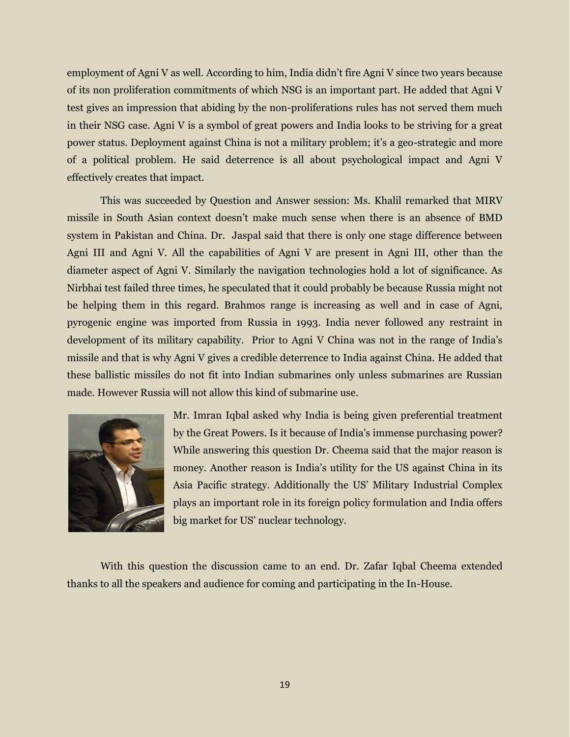employment of Agni V as well. According to him, India didn't fire Agni V since two years because of its non proliferation commitments of which NSG is an important part. He added that Agni V test gives an impression that abiding by the non-proliferations rules has not served them much in their NSG case. Agni V is a symbol of great powers and India looks to be striving for a great power status. Deployment against China is not a military problem; it's a geo-strategic and more of a political problem. He said deterrence is all about psychological impact and Agni V effectively creates that impact.

This was succeeded by Question and Answer session: Ms. Khalil remarked that MIRV missile in South Asian context doesn't make much sense when there is an absence of BMD system in Pakistan and China. Dr. Jaspal said that there is only one stage difference between Agni III and Agni V. All the capabilities of Agni V are present in Agni III, other than the diameter aspect of Agni V. Similarly the navigation technologies hold a lot of significance. As Nirbhai test failed three times, he speculated that it could probably be because Russia might not be helping them in this regard. Brahmos range is increasing as well and in case of Agni, pyrogenic engine was imported from Russia in 1993. India never followed any restraint in development of its military capability. Prior to Agni V China was not in the range of India's missile and that is why Agni V gives a credible deterrence to India against China. He added that these ballistic missiles do not fit into Indian submarines only unless submarines are Russian made. However Russia will not allow this kind of submarine use.



Mr. Imran Iqbal asked why India is being given preferential treatment by the Great Powers. Is it because of India's immense purchasing power? While answering this question Dr. Cheema said that the major reason is money. Another reason is India's utility for the US against China in its Asia Pacific strategy. Additionally the US' Military Industrial Complex plays an important role in its foreign policy formulation and India offers big market for US' nuclear technology.

With this question the discussion came to an end. Dr. Zafar Iqbal Cheema extended thanks to all the speakers and audience for coming and participating in the In-House.